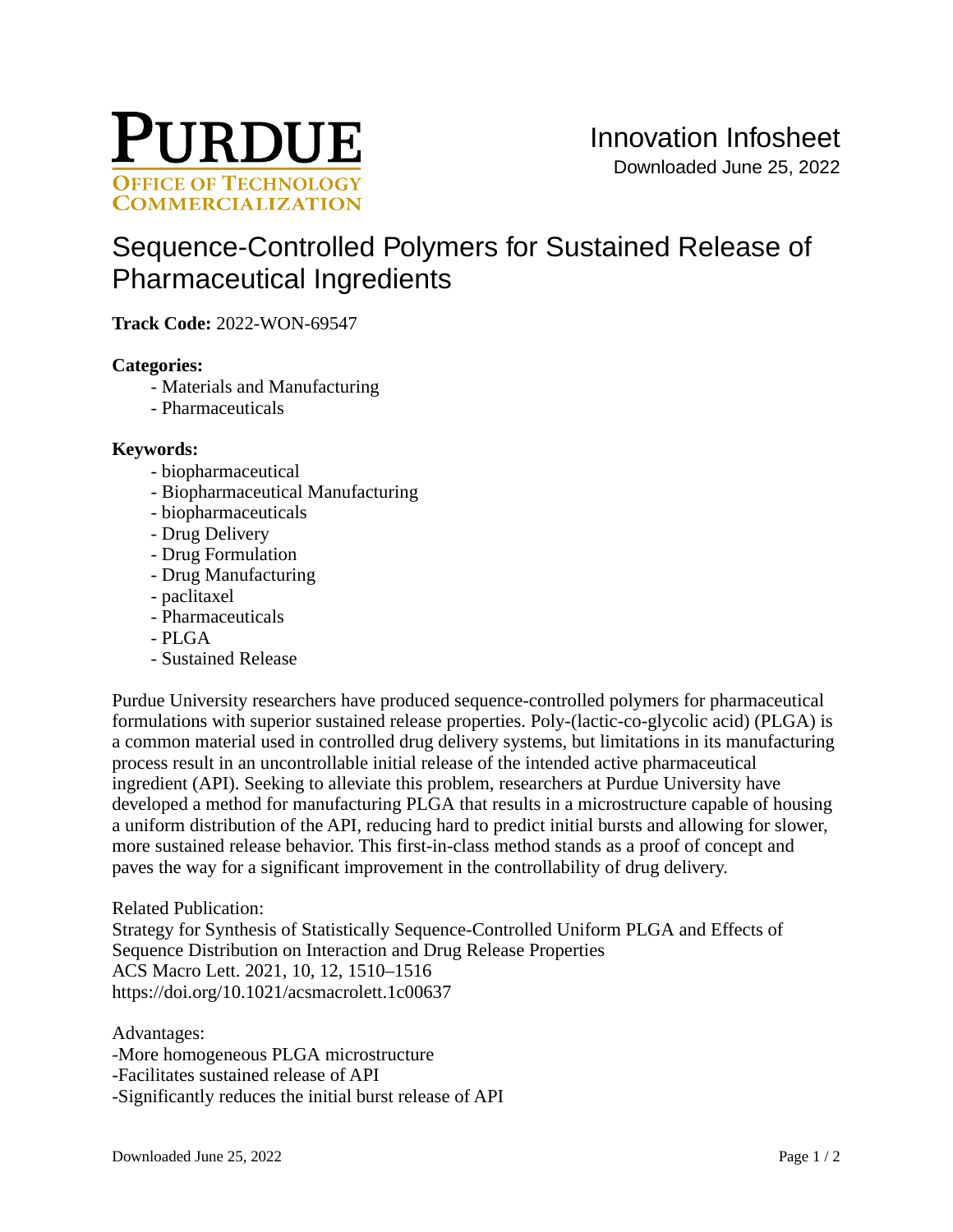

# [Sequence-Controlled Polymers for Sustained Release of](https://inventions.prf.org/innovation/8158)  [Pharmaceutical Ingredients](https://inventions.prf.org/innovation/8158)

**Track Code:** 2022-WON-69547

## **Categories:**

- Materials and Manufacturing
- Pharmaceuticals

## **Keywords:**

- biopharmaceutical
- Biopharmaceutical Manufacturing
- biopharmaceuticals
- Drug Delivery
- Drug Formulation
- Drug Manufacturing
- paclitaxel
- Pharmaceuticals
- $-$  PLGA
- Sustained Release

Purdue University researchers have produced sequence-controlled polymers for pharmaceutical formulations with superior sustained release properties. Poly-(lactic-co-glycolic acid) (PLGA) is a common material used in controlled drug delivery systems, but limitations in its manufacturing process result in an uncontrollable initial release of the intended active pharmaceutical ingredient (API). Seeking to alleviate this problem, researchers at Purdue University have developed a method for manufacturing PLGA that results in a microstructure capable of housing a uniform distribution of the API, reducing hard to predict initial bursts and allowing for slower, more sustained release behavior. This first-in-class method stands as a proof of concept and paves the way for a significant improvement in the controllability of drug delivery.

## Related Publication:

Strategy for Synthesis of Statistically Sequence-Controlled Uniform PLGA and Effects of Sequence Distribution on Interaction and Drug Release Properties ACS Macro Lett. 2021, 10, 12, 1510–1516 <https://doi.org/10.1021/acsmacrolett.1c00637>

Advantages:

-More homogeneous PLGA microstructure -Facilitates sustained release of API -Significantly reduces the initial burst release of API